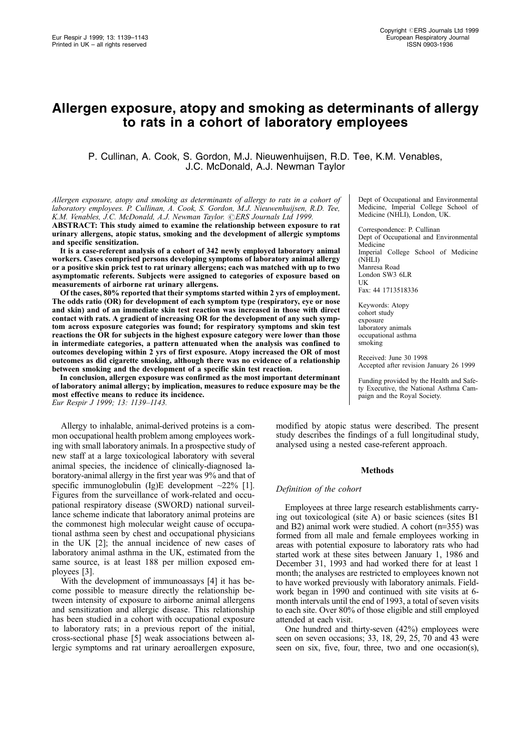# Allergen exposure, atopy and smoking as determinants of allergy to rats in a cohort of laboratory employees

P. Cullinan, A. Cook, S. Gordon, M.J. Nieuwenhuijsen, R.D. Tee, K.M. Venables, J.C. McDonald, A.J. Newman Taylor

Allergen exposure, atopy and smoking as determinants of allergy to rats in a cohort of laboratory employees. P. Cullinan, A. Cook, S. Gordon, M.J. Nieuwenhuijsen, R.D. Tee, K.M. Venables, J.C. McDonald, A.J. Newman Taylor. CERS Journals Ltd 1999.

ABSTRACT: This study aimed to examine the relationship between exposure to rat urinary allergens, atopic status, smoking and the development of allergic symptoms and specific sensitization.

It is a case-referent analysis of a cohort of 342 newly employed laboratory animal workers. Cases comprised persons developing symptoms of laboratory animal allergy or a positive skin prick test to rat urinary allergens; each was matched with up to two asymptomatic referents. Subjects were assigned to categories of exposure based on measurements of airborne rat urinary allergens.

Of the cases, 80% reported that their symptoms started within 2 yrs of employment. The odds ratio (OR) for development of each symptom type (respiratory, eye or nose and skin) and of an immediate skin test reaction was increased in those with direct contact with rats. A gradient of increasing OR for the development of any such symptom across exposure categories was found; for respiratory symptoms and skin test reactions the OR for subjects in the highest exposure category were lower than those in intermediate categories, a pattern attenuated when the analysis was confined to outcomes developing within 2 yrs of first exposure. Atopy increased the OR of most outcomes as did cigarette smoking, although there was no evidence of a relationship between smoking and the development of a specific skin test reaction.

In conclusion, allergen exposure was confirmed as the most important determinant of laboratory animal allergy; by implication, measures to reduce exposure may be the most effective means to reduce its incidence. Eur Respir J 1999; 13: 1139-1143.

Allergy to inhalable, animal-derived proteins is a common occupational health problem among employees working with small laboratory animals. In a prospective study of new staff at a large toxicological laboratory with several animal species, the incidence of clinically-diagnosed laboratory-animal allergy in the first year was 9% and that of specific immunoglobulin (Ig)E development  $\sim$ 22% [1]. Figures from the surveillance of work-related and occupational respiratory disease (SWORD) national surveillance scheme indicate that laboratory animal proteins are the commonest high molecular weight cause of occupational asthma seen by chest and occupational physicians in the UK [2]; the annual incidence of new cases of laboratory animal asthma in the UK, estimated from the same source, is at least 188 per million exposed employees [3].

With the development of immunoassays [4] it has become possible to measure directly the relationship between intensity of exposure to airborne animal allergens and sensitization and allergic disease. This relationship has been studied in a cohort with occupational exposure to laboratory rats; in a previous report of the initial, cross-sectional phase [5] weak associations between allergic symptoms and rat urinary aeroallergen exposure,

Dept of Occupational and Environmental Medicine, Imperial College School of Medicine (NHLI), London, UK.

Correspondence: P. Cullinan Dept of Occupational and Environmental Medicine Imperial College School of Medicine (NHLI) Manresa Road London SW3 6LR UK Fax: 44 1713518336

Keywords: Atopy cohort study exposure laboratory animals occupational asthma smoking

Received: June 30 1998 Accepted after revision January 26 1999

Funding provided by the Health and Safety Executive, the National Asthma Campaign and the Royal Society.

modified by atopic status were described. The present study describes the findings of a full longitudinal study, analysed using a nested case-referent approach.

#### Methods

# Definition of the cohort

Employees at three large research establishments carrying out toxicological (site A) or basic sciences (sites B1 and B2) animal work were studied. A cohort (n=355) was formed from all male and female employees working in areas with potential exposure to laboratory rats who had started work at these sites between January 1, 1986 and December 31, 1993 and had worked there for at least 1 month; the analyses are restricted to employees known not to have worked previously with laboratory animals. Fieldwork began in 1990 and continued with site visits at 6 month intervals until the end of 1993, a total of seven visits to each site. Over 80% of those eligible and still employed attended at each visit.

One hundred and thirty-seven (42%) employees were seen on seven occasions; 33, 18, 29, 25, 70 and 43 were seen on six, five, four, three, two and one occasion(s),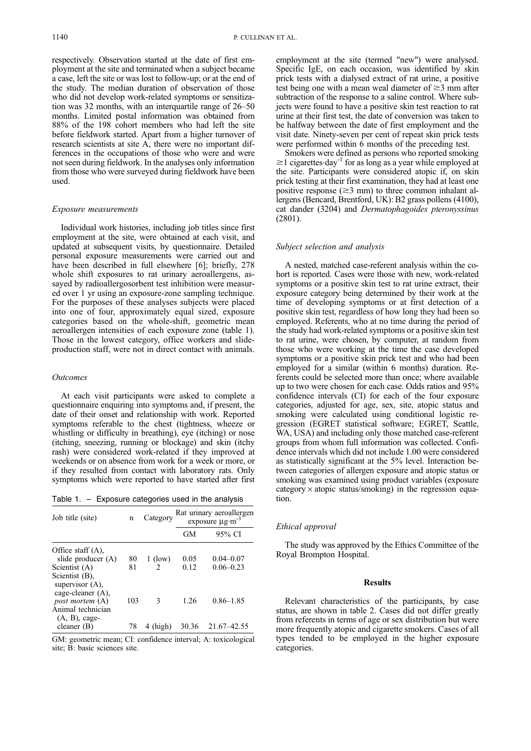respectively. Observation started at the date of first employment at the site and terminated when a subject became a case, left the site or was lost to follow-up; or at the end of the study. The median duration of observation of those who did not develop work-related symptoms or sensitization was 32 months, with an interquartile range of  $26-50$ months. Limited postal information was obtained from 88% of the 198 cohort members who had left the site before fieldwork started. Apart from a higher turnover of research scientists at site A, there were no important differences in the occupations of those who were and were not seen during fieldwork. In the analyses only information from those who were surveyed during fieldwork have been used.

## Exposure measurements

Individual work histories, including job titles since first employment at the site, were obtained at each visit, and updated at subsequent visits, by questionnaire. Detailed personal exposure measurements were carried out and have been described in full elsewhere [6]; briefly, 278 whole shift exposures to rat urinary aeroallergens, assayed by radioallergosorbent test inhibition were measured over 1 yr using an exposure-zone sampling technique. For the purposes of these analyses subjects were placed into one of four, approximately equal sized, exposure categories based on the whole-shift, geometric mean aeroallergen intensities of each exposure zone (table 1). Those in the lowest category, office workers and slideproduction staff, were not in direct contact with animals.

# Outcomes

At each visit participants were asked to complete a questionnaire enquiring into symptoms and, if present, the date of their onset and relationship with work. Reported symptoms referable to the chest (tightness, wheeze or whistling or difficulty in breathing), eye (itching) or nose (itching, sneezing, running or blockage) and skin (itchy rash) were considered work-related if they improved at weekends or on absence from work for a week or more, or if they resulted from contact with laboratory rats. Only symptoms which were reported to have started after first

Table 1.  $-$  Exposure categories used in the analysis

| Job title (site)                                             | n   | Category  | Rat urinary aeroallergen<br>exposure $\mu$ g·m <sup>-3</sup> |               |  |  |  |
|--------------------------------------------------------------|-----|-----------|--------------------------------------------------------------|---------------|--|--|--|
|                                                              |     |           | GM                                                           | 95% CI        |  |  |  |
| Office staff $(A)$ ,<br>slide producer (A)                   | 80  | $1$ (low) | 0.05                                                         | $0.04 - 0.07$ |  |  |  |
| Scientist (A)                                                | 81  | 2         | 0.12                                                         | $0.06 - 0.23$ |  |  |  |
| Scientist (B),<br>supervisor $(A)$ ,<br>cage-cleaner $(A)$ , |     |           |                                                              |               |  |  |  |
| post mortem (A)                                              | 103 | 3         | 1.26                                                         | $0.86 - 1.85$ |  |  |  |
| Animal technician<br>$(A, B)$ , cage-                        |     |           |                                                              |               |  |  |  |
| cleaner $(B)$                                                | 78  | (high)    | 30.36                                                        | 21.67-42.55   |  |  |  |

GM: geometric mean; CI: confidence interval; A: toxicological site; B: basic sciences site.

employment at the site (termed "new") were analysed. Specific IgE, on each occasion, was identified by skin prick tests with a dialysed extract of rat urine, a positive test being one with a mean weal diameter of  $\geq$ 3 mm after subtraction of the response to a saline control. Where subjects were found to have a positive skin test reaction to rat urine at their first test, the date of conversion was taken to be halfway between the date of first employment and the visit date. Ninety-seven per cent of repeat skin prick tests were performed within 6 months of the preceding test.

Smokers were defined as persons who reported smoking  $\geq$ 1 cigarettes $\cdot$ day<sup>-1</sup> for as long as a year while employed at the site. Participants were considered atopic if, on skin prick testing at their first examination, they had at least one positive response ( $\geq$ 3 mm) to three common inhalant allergens (Bencard, Brentford, UK): B2 grass pollens (4100), cat dander (3204) and Dermatophagoides pteronyssinus (2801).

#### Subject selection and analysis

A nested, matched case-referent analysis within the cohort is reported. Cases were those with new, work-related symptoms or a positive skin test to rat urine extract, their exposure category being determined by their work at the time of developing symptoms or at first detection of a positive skin test, regardless of how long they had been so employed. Referents, who at no time during the period of the study had work-related symptoms or a positive skin test to rat urine, were chosen, by computer, at random from those who were working at the time the case developed symptoms or a positive skin prick test and who had been employed for a similar (within 6 months) duration. Referents could be selected more than once; where available up to two were chosen for each case. Odds ratios and 95% confidence intervals (CI) for each of the four exposure categories, adjusted for age, sex, site, atopic status and smoking were calculated using conditional logistic regression (EGRET statistical software; EGRET, Seattle, WA, USA) and including only those matched case-referent groups from whom full information was collected. Confidence intervals which did not include 1.00 were considered as statistically significant at the 5% level. Interaction between categories of allergen exposure and atopic status or smoking was examined using product variables (exposure category  $\times$  atopic status/smoking) in the regression equation.

### Ethical approval

The study was approved by the Ethics Committee of the Royal Brompton Hospital.

## Results

Relevant characteristics of the participants, by case status, are shown in table 2. Cases did not differ greatly from referents in terms of age or sex distribution but were more frequently atopic and cigarette smokers. Cases of all types tended to be employed in the higher exposure categories.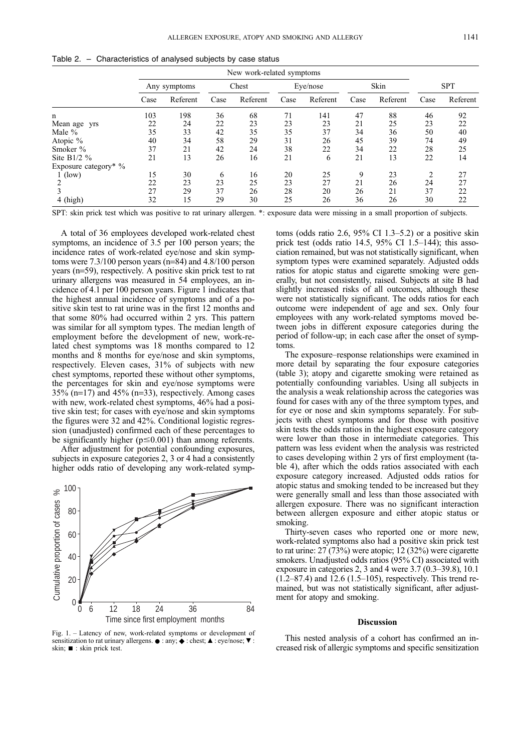|                      | New work-related symptoms |          |       |          |          |          |      |          |                |          |
|----------------------|---------------------------|----------|-------|----------|----------|----------|------|----------|----------------|----------|
|                      | Any symptoms              |          | Chest |          | Eye/nose |          | Skin |          | <b>SPT</b>     |          |
|                      | Case                      | Referent | Case  | Referent | Case     | Referent | Case | Referent | Case           | Referent |
| n                    | 103                       | 198      | 36    | 68       | 71       | 141      | 47   | 88       | 46             | 92       |
| Mean age yrs         | 22                        | 24       | 22    | 23       | 23       | 23       | 21   | 25       | 23             | 22       |
| Male $%$             | 35                        | 33       | 42    | 35       | 35       | 37       | 34   | 36       | 50             | 40       |
| Atopic %             | 40                        | 34       | 58    | 29       | 31       | 26       | 45   | 39       | 74             | 49       |
| Smoker %             | 37                        | 21       | 42    | 24       | 38       | 22       | 34   | 22       | 28             | 25       |
| Site B $1/2$ %       | 21                        | 13       | 26    | 16       | 21       | 6        | 21   | 13       | 22             | 14       |
| Exposure category* % |                           |          |       |          |          |          |      |          |                |          |
| (low)                | 15                        | 30       | 6     | 16       | 20       | 25       | 9    | 23       | $\overline{2}$ | 27       |
|                      | 22                        | 23       | 23    | 25       | 23       | 27       | 21   | 26       | 24             | 27       |
|                      | 27                        | 29       | 37    | 26       | 28       | 20       | 26   | 21       | 37             | 22       |
| 4 (high)             | 32                        | 15       | 29    | 30       | 25       | 26       | 36   | 26       | 30             | 22       |

|  | Table 2. - Characteristics of analysed subjects by case status |  |  |  |  |  |  |
|--|----------------------------------------------------------------|--|--|--|--|--|--|
|--|----------------------------------------------------------------|--|--|--|--|--|--|

SPT: skin prick test which was positive to rat urinary allergen. \*: exposure data were missing in a small proportion of subjects.

A total of 36 employees developed work-related chest symptoms, an incidence of 3.5 per 100 person years; the incidence rates of work-related eye/nose and skin symptoms were 7.3/100 person years (n=84) and 4.8/100 person years (n=59), respectively. A positive skin prick test to rat urinary allergens was measured in 54 employees, an incidence of 4.1 per 100 person years. Figure 1 indicates that the highest annual incidence of symptoms and of a positive skin test to rat urine was in the first 12 months and that some 80% had occurred within 2 yrs. This pattern was similar for all symptom types. The median length of employment before the development of new, work-related chest symptoms was 18 months compared to 12 months and 8 months for eye/nose and skin symptoms, respectively. Eleven cases, 31% of subjects with new chest symptoms, reported these without other symptoms, the percentages for skin and eye/nose symptoms were  $35\%$  (n=17) and  $45\%$  (n=33), respectively. Among cases with new, work-related chest symptoms, 46% had a positive skin test; for cases with eye/nose and skin symptoms the figures were 32 and 42%. Conditional logistic regression (unadjusted) confirmed each of these percentages to be significantly higher ( $p \le 0.001$ ) than among referents.

After adjustment for potential confounding exposures, subjects in exposure categories 2, 3 or 4 had a consistently higher odds ratio of developing any work-related symp-



Fig. 1. - Latency of new, work-related symptoms or development of sensitization to rat urinary allergens.  $\bullet :$  any;  $\stackrel{\bullet}{\bullet} :$  chest;  $\blacktriangle :$  eye/nose;  $\nabla :$ skin;  $\blacksquare$  : skin prick test.

toms (odds ratio 2.6,  $95\%$  CI 1.3–5.2) or a positive skin prick test (odds ratio 14.5,  $95\%$  CI 1.5 $-144$ ); this association remained, but was not statistically significant, when symptom types were examined separately. Adjusted odds ratios for atopic status and cigarette smoking were generally, but not consistently, raised. Subjects at site B had slightly increased risks of all outcomes, although these were not statistically significant. The odds ratios for each outcome were independent of age and sex. Only four employees with any work-related symptoms moved between jobs in different exposure categories during the period of follow-up; in each case after the onset of symptoms.

The exposure–response relationships were examined in more detail by separating the four exposure categories (table 3); atopy and cigarette smoking were retained as potentially confounding variables. Using all subjects in the analysis a weak relationship across the categories was found for cases with any of the three symptom types, and for eye or nose and skin symptoms separately. For subjects with chest symptoms and for those with positive skin tests the odds ratios in the highest exposure category were lower than those in intermediate categories. This pattern was less evident when the analysis was restricted to cases developing within 2 yrs of first employment (table 4), after which the odds ratios associated with each exposure category increased. Adjusted odds ratios for atopic status and smoking tended to be increased but they were generally small and less than those associated with allergen exposure. There was no significant interaction between allergen exposure and either atopic status or smoking.

Thirty-seven cases who reported one or more new, work-related symptoms also had a positive skin prick test to rat urine: 27 (73%) were atopic; 12 (32%) were cigarette smokers. Unadjusted odds ratios (95% CI) associated with exposure in categories 2, 3 and 4 were  $3.7$  (0.3–39.8), 10.1  $(1.2–87.4)$  and  $12.6$   $(1.5–105)$ , respectively. This trend remained, but was not statistically significant, after adjustment for atopy and smoking.

#### **Discussion**

This nested analysis of a cohort has confirmed an increased risk of allergic symptoms and specific sensitization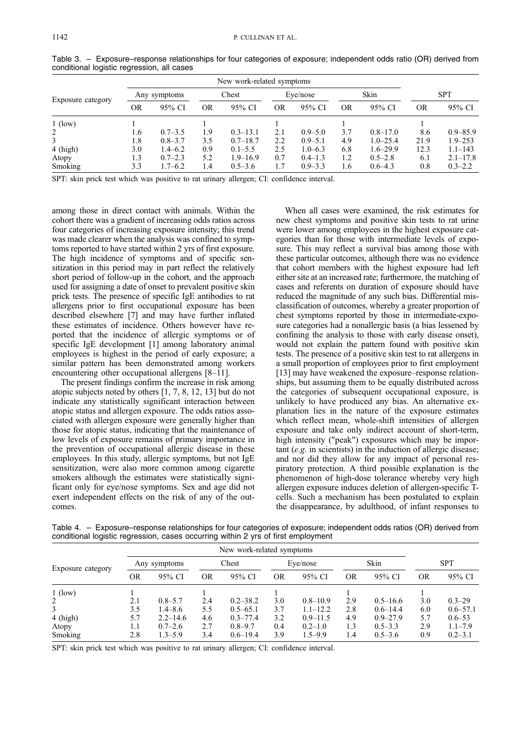| New work-related symptoms |              |             |       |              |          |             |           |              |            |              |
|---------------------------|--------------|-------------|-------|--------------|----------|-------------|-----------|--------------|------------|--------------|
| Exposure category         | Any symptoms |             | Chest |              | Eye/nose |             | Skin      |              | <b>SPT</b> |              |
|                           | OR           | 95% CI      | OR    | 95% CI       | OR       | 95% CI      | <b>OR</b> | 95% CI       | OR         | 95% CI       |
| $1$ (low)                 |              |             |       |              |          |             |           |              |            |              |
| 2                         | 1.6          | $0.7 - 3.5$ | 1.9   | $0.3 - 13.1$ | 2.1      | $0.9 - 5.0$ | 3.7       | $0.8 - 17.0$ | 8.6        | $0.9 - 85.9$ |
|                           | 1.8          | $0.8 - 3.7$ | 3.5   | $0.7 - 18.7$ | 2.2      | $0.9 - 5.1$ | 4.9       | $1.0 - 25.4$ | 21.9       | $1.9 - 253$  |
| 4 (high)                  | 3.0          | $1.4 - 6.2$ | 0.9   | $0.1 - 5.5$  | 2.5      | $1.0 - 6.3$ | 6.8       | $1.6 - 29.9$ | 12.3       | $1.1 - 143$  |
| Atopy                     | 1.3          | $0.7 - 2.3$ | 5.2   | $1.9 - 16.9$ | 0.7      | $0.4 - 1.3$ | 1.2       | $0.5 - 2.8$  | 6.1        | $2.1 - 17.8$ |
| Smoking                   | 3.3          | $1.7 - 6.2$ | 1.4   | $0.5 - 3.6$  | 1.7      | $0.9 - 3.3$ | 1.6       | $0.6 - 4.3$  | 0.8        | $0.3 - 2.2$  |

Table 3. - Exposure-response relationships for four categories of exposure; independent odds ratio (OR) derived from conditional logistic regression, all cases

SPT: skin prick test which was positive to rat urinary allergen; CI: confidence interval.

among those in direct contact with animals. Within the cohort there was a gradient of increasing odds ratios across four categories of increasing exposure intensity; this trend was made clearer when the analysis was confined to symptoms reported to have started within 2 yrs of first exposure. The high incidence of symptoms and of specific sensitization in this period may in part reflect the relatively short period of follow-up in the cohort, and the approach used for assigning a date of onset to prevalent positive skin prick tests. The presence of specific IgE antibodies to rat allergens prior to first occupational exposure has been described elsewhere [7] and may have further inflated these estimates of incidence. Others however have reported that the incidence of allergic symptoms or of specific IgE development [1] among laboratory animal employees is highest in the period of early exposure; a similar pattern has been demonstrated among workers encountering other occupational allergens  $[8-11]$ .

The present findings confirm the increase in risk among atopic subjects noted by others [1, 7, 8, 12, 13] but do not indicate any statistically significant interaction between atopic status and allergen exposure. The odds ratios associated with allergen exposure were generally higher than those for atopic status, indicating that the maintenance of low levels of exposure remains of primary importance in the prevention of occupational allergic disease in these employees. In this study, allergic symptoms, but not IgE sensitization, were also more common among cigarette smokers although the estimates were statistically significant only for eye/nose symptoms. Sex and age did not exert independent effects on the risk of any of the outcomes.

When all cases were examined, the risk estimates for new chest symptoms and positive skin tests to rat urine were lower among employees in the highest exposure categories than for those with intermediate levels of exposure. This may reflect a survival bias among those with these particular outcomes, although there was no evidence that cohort members with the highest exposure had left either site at an increased rate; furthermore, the matching of cases and referents on duration of exposure should have reduced the magnitude of any such bias. Differential misclassification of outcomes, whereby a greater proportion of chest symptoms reported by those in intermediate-exposure categories had a nonallergic basis (a bias lessened by confining the analysis to those with early disease onset), would not explain the pattern found with positive skin tests. The presence of a positive skin test to rat allergens in a small proportion of employees prior to first employment  $[13]$  may have weakened the exposure–response relationships, but assuming them to be equally distributed across the categories of subsequent occupational exposure, is unlikely to have produced any bias. An alternative explanation lies in the nature of the exposure estimates which reflect mean, whole-shift intensities of allergen exposure and take only indirect account of short-term, high intensity ("peak") exposures which may be important (e.g. in scientists) in the induction of allergic disease; and nor did they allow for any impact of personal respiratory protection. A third possible explanation is the phenomenon of high-dose tolerance whereby very high allergen exposure induces deletion of allergen-specific Tcells. Such a mechanism has been postulated to explain the disappearance, by adulthood, of infant responses to

|  | Table 4. – Exposure–response relationships for four categories of exposure; independent odds ratios (OR) derived from |  |  |  |
|--|-----------------------------------------------------------------------------------------------------------------------|--|--|--|
|  | conditional logistic regression, cases occurring within 2 yrs of first employment                                     |  |  |  |

| New work-related symptoms |              |              |       |              |           |              |      |              |            |              |
|---------------------------|--------------|--------------|-------|--------------|-----------|--------------|------|--------------|------------|--------------|
| Exposure category         | Any symptoms |              | Chest |              | Eye/nose  |              | Skin |              | <b>SPT</b> |              |
|                           | <b>OR</b>    | 95% CI       | OR    | 95% CI       | <b>OR</b> | 95% CI       | OR   | 95% CI       | OR         | 95% CI       |
| $1$ (low)                 |              |              |       |              |           |              |      |              |            |              |
| 2                         | 2.1          | $0.8 - 5.7$  | 2.4   | $0.2 - 38.2$ | 3.0       | $0.8 - 10.9$ | 2.9  | $0.5 - 16.6$ | 3.0        | $0.3 - 29$   |
| 3                         | 3.5          | $1.4 - 8.6$  | 5.5   | $0.5 - 65.1$ | 3.7       | $1.1 - 12.2$ | 2.8  | $0.6 - 14.4$ | 6.0        | $0.6 - 57.1$ |
| $4$ (high)                | 5.7          | $2.2 - 14.6$ | 4.6   | $0.3 - 77.4$ | 3.2       | $0.9 - 11.5$ | 4.9  | $0.9 - 27.9$ | 5.7        | $0.6 - 53$   |
| Atopy                     | 1.1          | $0.7 - 2.6$  | 2.7   | $0.8 - 9.7$  | 0.4       | $0.2 - 1.0$  | 1.3  | $0.5 - 3.3$  | 2.9        | $1.1 - 7.9$  |
| Smoking                   | 2.8          | $1.3 - 5.9$  | 3.4   | $0.6 - 19.4$ | 3.9       | $1.5 - 9.9$  | 1.4  | $0.5 - 3.6$  | 0.9        | $0.2 - 3.1$  |

SPT: skin prick test which was positive to rat urinary allergen; CI: confidence interval.